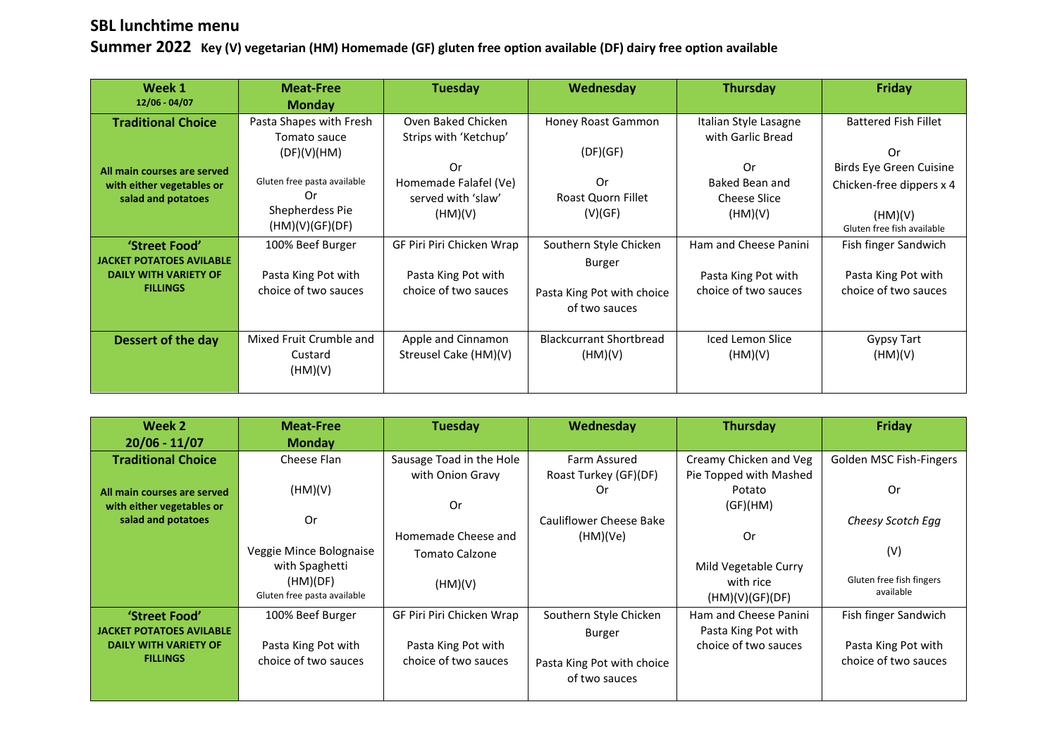## **SBL lunchtime menu**

**Summer 2022 Key (V) vegetarian (HM) Homemade (GF) gluten free option available (DF) dairy free option available**

| Week 1<br>12/06 - 04/07                                                          | <b>Meat-Free</b><br><b>Monday</b>                                   | <b>Tuesday</b>                                               | <b>Wednesday</b>                                       | <b>Thursday</b>                                        | <b>Friday</b>                                                        |
|----------------------------------------------------------------------------------|---------------------------------------------------------------------|--------------------------------------------------------------|--------------------------------------------------------|--------------------------------------------------------|----------------------------------------------------------------------|
| <b>Traditional Choice</b>                                                        | Pasta Shapes with Fresh<br>Tomato sauce                             | Oven Baked Chicken<br>Strips with 'Ketchup'                  | Honey Roast Gammon                                     | Italian Style Lasagne<br>with Garlic Bread             | <b>Battered Fish Fillet</b>                                          |
| All main courses are served<br>with either vegetables or<br>salad and potatoes   | (DF)(V)(HM)<br>Gluten free pasta available<br>0r<br>Shepherdess Pie | 0r<br>Homemade Falafel (Ve)<br>served with 'slaw'<br>(HM)(V) | (DF)(GF)<br>0r<br><b>Roast Quorn Fillet</b><br>(V)(GF) | Or<br>Baked Bean and<br><b>Cheese Slice</b><br>(HM)(V) | Or<br>Birds Eye Green Cuisine<br>Chicken-free dippers x 4<br>(HM)(V) |
|                                                                                  | (HM)(V)(GF)(DF)                                                     |                                                              |                                                        |                                                        | Gluten free fish available                                           |
| 'Street Food'<br><b>JACKET POTATOES AVILABLE</b><br><b>DAILY WITH VARIETY OF</b> | 100% Beef Burger<br>Pasta King Pot with                             | GF Piri Piri Chicken Wrap<br>Pasta King Pot with             | Southern Style Chicken<br>Burger                       | Ham and Cheese Panini<br>Pasta King Pot with           | Fish finger Sandwich<br>Pasta King Pot with                          |
| <b>FILLINGS</b>                                                                  | choice of two sauces                                                | choice of two sauces                                         | Pasta King Pot with choice<br>of two sauces            | choice of two sauces                                   | choice of two sauces                                                 |
| Dessert of the day                                                               | Mixed Fruit Crumble and<br>Custard<br>(HM)(V)                       | Apple and Cinnamon<br>Streusel Cake (HM)(V)                  | <b>Blackcurrant Shortbread</b><br>(HM)(V)              | <b>Iced Lemon Slice</b><br>(HM)(V)                     | <b>Gypsy Tart</b><br>(HM)(V)                                         |

| Week 2                          | <b>Meat-Free</b>            | Tuesday                   | Wednesday                  | <b>Thursday</b>        | Friday                   |
|---------------------------------|-----------------------------|---------------------------|----------------------------|------------------------|--------------------------|
| $20/06 - 11/07$                 | <b>Monday</b>               |                           |                            |                        |                          |
| <b>Traditional Choice</b>       | Cheese Flan                 | Sausage Toad in the Hole  | Farm Assured               | Creamy Chicken and Veg | Golden MSC Fish-Fingers  |
|                                 |                             | with Onion Gravy          | Roast Turkey (GF)(DF)      | Pie Topped with Mashed |                          |
| All main courses are served     | (HM)(V)                     |                           | .Or                        | Potato                 | 0r                       |
| with either vegetables or       |                             | Or                        |                            | (GF)(HM)               |                          |
| salad and potatoes              | 0r                          |                           | Cauliflower Cheese Bake    |                        | Cheesy Scotch Egg        |
|                                 |                             | Homemade Cheese and       | (HM)(Ve)                   | 0r                     |                          |
|                                 | Veggie Mince Bolognaise     | <b>Tomato Calzone</b>     |                            |                        | (V)                      |
|                                 | with Spaghetti              |                           |                            | Mild Vegetable Curry   |                          |
|                                 | (HM)(DF)                    | (HM)(V)                   |                            | with rice              | Gluten free fish fingers |
|                                 | Gluten free pasta available |                           |                            | (HM)(V)(GF)(DF)        | available                |
| 'Street Food'                   | 100% Beef Burger            | GF Piri Piri Chicken Wrap | Southern Style Chicken     | Ham and Cheese Panini  | Fish finger Sandwich     |
| <b>JACKET POTATOES AVILABLE</b> |                             |                           | Burger                     | Pasta King Pot with    |                          |
| <b>DAILY WITH VARIETY OF</b>    | Pasta King Pot with         | Pasta King Pot with       |                            | choice of two sauces   | Pasta King Pot with      |
| <b>FILLINGS</b>                 | choice of two sauces        | choice of two sauces      | Pasta King Pot with choice |                        | choice of two sauces     |
|                                 |                             |                           | of two sauces              |                        |                          |
|                                 |                             |                           |                            |                        |                          |